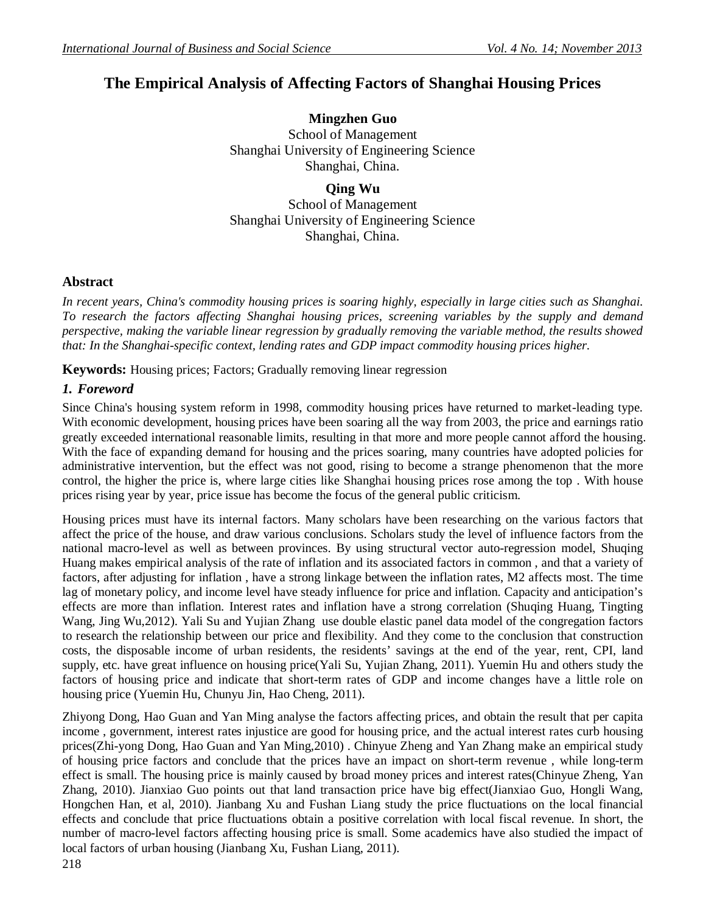# **The Empirical Analysis of Affecting Factors of Shanghai Housing Prices**

**Mingzhen Guo** School of Management Shanghai University of Engineering Science Shanghai, China.

**Qing Wu** School of Management Shanghai University of Engineering Science Shanghai, China.

## **Abstract**

*In recent years, China's commodity housing prices is soaring highly, especially in large cities such as Shanghai. To research the factors affecting Shanghai housing prices, screening variables by the supply and demand perspective, making the variable linear regression by gradually removing the variable method, the results showed that: In the Shanghai-specific context, lending rates and GDP impact commodity housing prices higher.*

**Keywords:** Housing prices; Factors; Gradually removing linear regression

## *1. Foreword*

Since China's housing system reform in 1998, commodity housing prices have returned to market-leading type. With economic development, housing prices have been soaring all the way from 2003, the price and earnings ratio greatly exceeded international reasonable limits, resulting in that more and more people cannot afford the housing. With the face of expanding demand for housing and the prices soaring, many countries have adopted policies for administrative intervention, but the effect was not good, rising to become a strange phenomenon that the more control, the higher the price is, where large cities like Shanghai housing prices rose among the top . With house prices rising year by year, price issue has become the focus of the general public criticism.

Housing prices must have its internal factors. Many scholars have been researching on the various factors that affect the price of the house, and draw various conclusions. Scholars study the level of influence factors from the national macro-level as well as between provinces. By using structural vector auto-regression model, Shuqing Huang makes empirical analysis of the rate of inflation and its associated factors in common , and that a variety of factors, after adjusting for inflation , have a strong linkage between the inflation rates, M2 affects most. The time lag of monetary policy, and income level have steady influence for price and inflation. Capacity and anticipation's effects are more than inflation. Interest rates and inflation have a strong correlation (Shuqing Huang, Tingting Wang, Jing Wu,2012). Yali Su and Yujian Zhang use double elastic panel data model of the congregation factors to research the relationship between our price and flexibility. And they come to the conclusion that construction costs, the disposable income of urban residents, the residents' savings at the end of the year, rent, CPI, land supply, etc. have great influence on housing price(Yali Su, Yujian Zhang, 2011). Yuemin Hu and others study the factors of housing price and indicate that short-term rates of GDP and income changes have a little role on housing price (Yuemin Hu, Chunyu Jin, Hao Cheng, 2011).

Zhiyong Dong, Hao Guan and Yan Ming analyse the factors affecting prices, and obtain the result that per capita income , government, interest rates injustice are good for housing price, and the actual interest rates curb housing prices(Zhi-yong Dong, Hao Guan and Yan Ming,2010) . Chinyue Zheng and Yan Zhang make an empirical study of housing price factors and conclude that the prices have an impact on short-term revenue , while long-term effect is small. The housing price is mainly caused by broad money prices and interest rates(Chinyue Zheng, Yan Zhang, 2010). Jianxiao Guo points out that land transaction price have big effect(Jianxiao Guo, Hongli Wang, Hongchen Han, et al, 2010). Jianbang Xu and Fushan Liang study the price fluctuations on the local financial effects and conclude that price fluctuations obtain a positive correlation with local fiscal revenue. In short, the number of macro-level factors affecting housing price is small. Some academics have also studied the impact of local factors of urban housing (Jianbang Xu, Fushan Liang, 2011).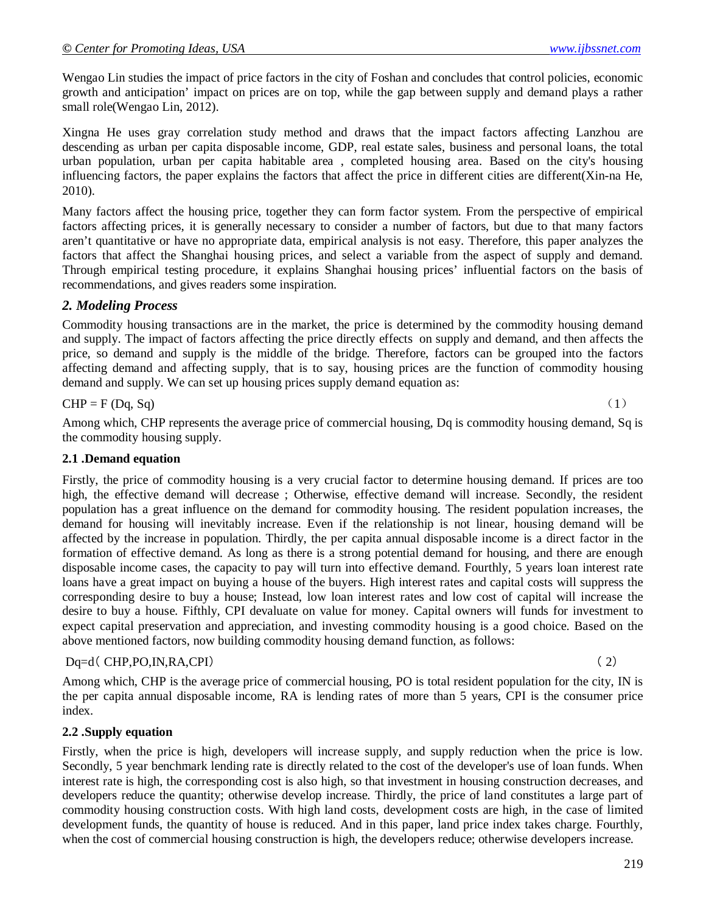Wengao Lin studies the impact of price factors in the city of Foshan and concludes that control policies, economic growth and anticipation' impact on prices are on top, while the gap between supply and demand plays a rather small role(Wengao Lin, 2012).

Xingna He uses gray correlation study method and draws that the impact factors affecting Lanzhou are descending as urban per capita disposable income, GDP, real estate sales, business and personal loans, the total urban population, urban per capita habitable area , completed housing area. Based on the city's housing influencing factors, the paper explains the factors that affect the price in different cities are different(Xin-na He, 2010).

Many factors affect the housing price, together they can form factor system. From the perspective of empirical factors affecting prices, it is generally necessary to consider a number of factors, but due to that many factors aren't quantitative or have no appropriate data, empirical analysis is not easy. Therefore, this paper analyzes the factors that affect the Shanghai housing prices, and select a variable from the aspect of supply and demand. Through empirical testing procedure, it explains Shanghai housing prices' influential factors on the basis of recommendations, and gives readers some inspiration.

## *2. Modeling Process*

Commodity housing transactions are in the market, the price is determined by the commodity housing demand and supply. The impact of factors affecting the price directly effects on supply and demand, and then affects the price, so demand and supply is the middle of the bridge. Therefore, factors can be grouped into the factors affecting demand and affecting supply, that is to say, housing prices are the function of commodity housing demand and supply. We can set up housing prices supply demand equation as:

$$
CHP = F (Dq, Sq)
$$
 (1)

Among which, CHP represents the average price of commercial housing, Dq is commodity housing demand, Sq is the commodity housing supply.

#### **2.1 .Demand equation**

Firstly, the price of commodity housing is a very crucial factor to determine housing demand. If prices are too high, the effective demand will decrease ; Otherwise, effective demand will increase. Secondly, the resident population has a great influence on the demand for commodity housing. The resident population increases, the demand for housing will inevitably increase. Even if the relationship is not linear, housing demand will be affected by the increase in population. Thirdly, the per capita annual disposable income is a direct factor in the formation of effective demand. As long as there is a strong potential demand for housing, and there are enough disposable income cases, the capacity to pay will turn into effective demand. Fourthly, 5 years loan interest rate loans have a great impact on buying a house of the buyers. High interest rates and capital costs will suppress the corresponding desire to buy a house; Instead, low loan interest rates and low cost of capital will increase the desire to buy a house. Fifthly, CPI devaluate on value for money. Capital owners will funds for investment to expect capital preservation and appreciation, and investing commodity housing is a good choice. Based on the above mentioned factors, now building commodity housing demand function, as follows:

#### $Dq=d$  (CHP, PO, IN, RA, CPI) (2)

Among which, CHP is the average price of commercial housing, PO is total resident population for the city, IN is the per capita annual disposable income, RA is lending rates of more than 5 years, CPI is the consumer price index.

#### **2.2 .Supply equation**

Firstly, when the price is high, developers will increase supply, and supply reduction when the price is low. Secondly, 5 year benchmark lending rate is directly related to the cost of the developer's use of loan funds. When interest rate is high, the corresponding cost is also high, so that investment in housing construction decreases, and developers reduce the quantity; otherwise develop increase. Thirdly, the price of land constitutes a large part of commodity housing construction costs. With high land costs, development costs are high, in the case of limited development funds, the quantity of house is reduced. And in this paper, land price index takes charge. Fourthly, when the cost of commercial housing construction is high, the developers reduce; otherwise developers increase.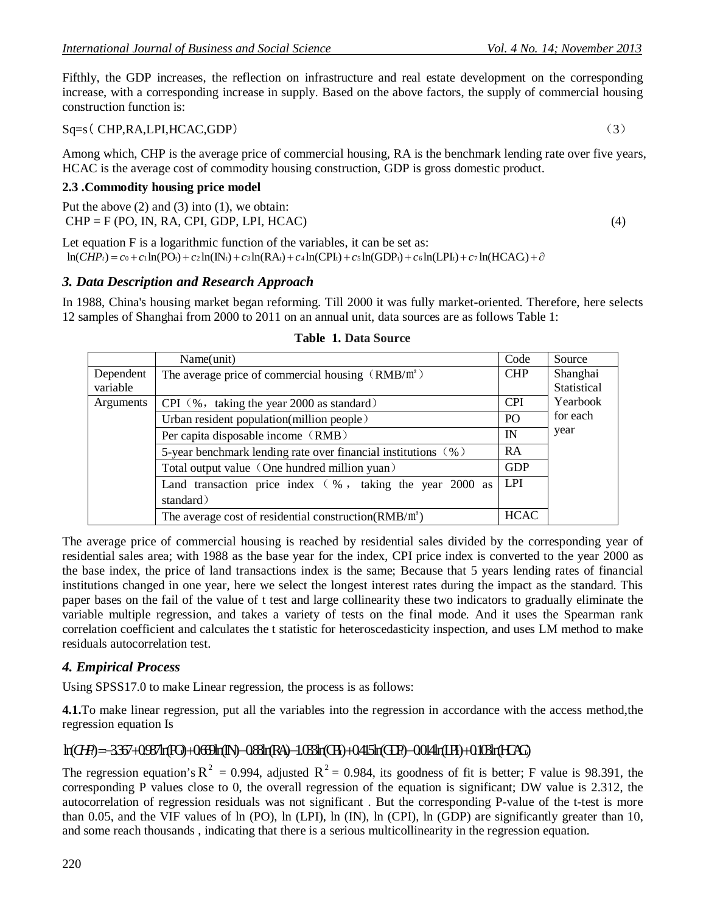Fifthly, the GDP increases, the reflection on infrastructure and real estate development on the corresponding increase, with a corresponding increase in supply. Based on the above factors, the supply of commercial housing construction function is:

### Sq=s( CHP,RA,LPI,HCAC,GDP) (3)

Among which, CHP is the average price of commercial housing, RA is the benchmark lending rate over five years, HCAC is the average cost of commodity housing construction, GDP is gross domestic product.

### **2.3 .Commodity housing price model**

Put the above (2) and (3) into (1), we obtain:  $CHP = F (PO, IN, RA, CPI, GDP, LPI, HCAC)$  (4)

Let equation F is a logarithmic function of the variables, it can be set as:  $\ln(CHP_t) = c_0 + c_1 \ln(PO_t) + c_2 \ln(N_t) + c_3 \ln(RA_t) + c_4 \ln(CPI_t) + c_5 \ln(GDP_t) + c_6 \ln(LPI_t) + c_7 \ln(HCAC_t) + \partial$ 

### *3. Data Description and Research Approach*

In 1988, China's housing market began reforming. Till 2000 it was fully market-oriented. Therefore, here selects 12 samples of Shanghai from 2000 to 2011 on an annual unit, data sources are as follows Table 1:

|           | Name(unit)                                                                                 | Code             | Source      |  |
|-----------|--------------------------------------------------------------------------------------------|------------------|-------------|--|
| Dependent | The average price of commercial housing $(RMB/m2)$                                         | <b>CHP</b>       | Shanghai    |  |
| variable  |                                                                                            |                  | Statistical |  |
| Arguments | CPI $(\%$ , taking the year 2000 as standard)<br>Urban resident population(million people) |                  |             |  |
|           |                                                                                            |                  |             |  |
|           | IN                                                                                         | year             |             |  |
|           | <b>RA</b>                                                                                  |                  |             |  |
|           | Total output value (One hundred million yuan)                                              | <b>GDP</b>       |             |  |
|           | Land transaction price index $( % ,$ taking the year 2000 as                               | LPI <sup>1</sup> |             |  |
|           | standard)                                                                                  |                  |             |  |
|           | The average cost of residential construction( $RMB/m2$ )                                   | <b>HCAC</b>      |             |  |

#### **Table 1. Data Source**

The average price of commercial housing is reached by residential sales divided by the corresponding year of residential sales area; with 1988 as the base year for the index, CPI price index is converted to the year 2000 as the base index, the price of land transactions index is the same; Because that 5 years lending rates of financial institutions changed in one year, here we select the longest interest rates during the impact as the standard. This paper bases on the fail of the value of t test and large collinearity these two indicators to gradually eliminate the variable multiple regression, and takes a variety of tests on the final mode. And it uses the Spearman rank correlation coefficient and calculates the t statistic for heteroscedasticity inspection, and uses LM method to make residuals autocorrelation test.

## *4. Empirical Process*

Using SPSS17.0 to make Linear regression, the process is as follows:

**4.1.**To make linear regression, put all the variables into the regression in accordance with the access method,the regression equation Is

## ln( ) 3.367 0.987ln(PO) 0.669ln(IN) 0.88ln(RA *CHP<sup>t</sup>* t t t t t t t ) 1.033ln(CPI) 0.415ln(GDP) 0.014ln(LPI) 0.103ln(HCAC)

The regression equation's  $R^2 = 0.994$ , adjusted  $R^2 = 0.984$ , its goodness of fit is better; F value is 98.391, the corresponding P values close to 0, the overall regression of the equation is significant; DW value is 2.312, the autocorrelation of regression residuals was not significant . But the corresponding P-value of the t-test is more than 0.05, and the VIF values of ln (PO), ln (LPI), ln (IN), ln (CPI), ln (GDP) are significantly greater than 10, and some reach thousands , indicating that there is a serious multicollinearity in the regression equation.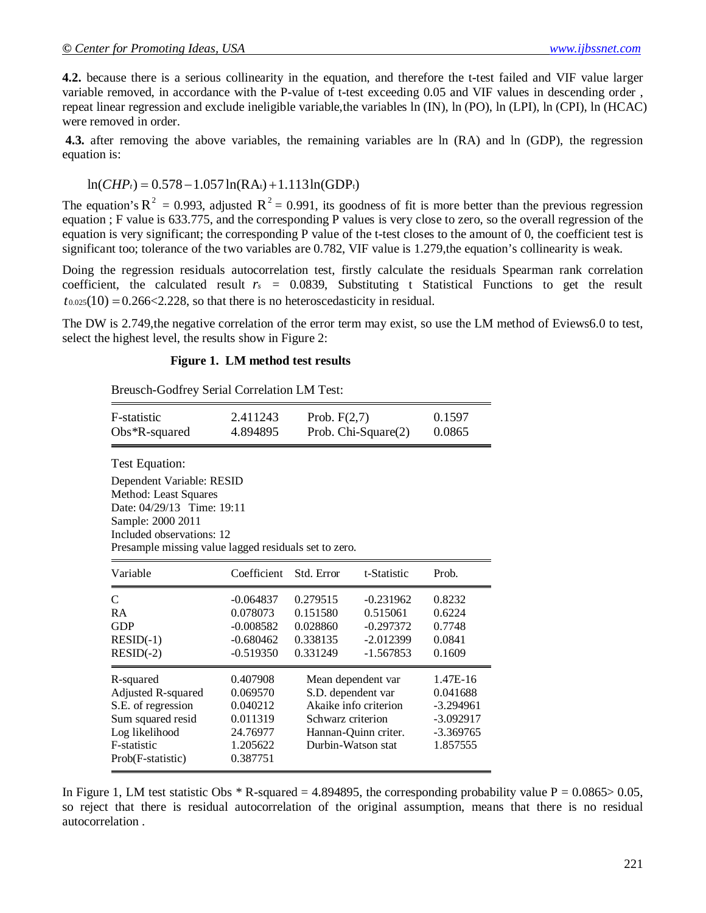**4.2.** because there is a serious collinearity in the equation, and therefore the t-test failed and VIF value larger variable removed, in accordance with the P-value of t-test exceeding 0.05 and VIF values in descending order , repeat linear regression and exclude ineligible variable,the variables ln (IN), ln (PO), ln (LPI), ln (CPI), ln (HCAC) were removed in order.

**4.3.** after removing the above variables, the remaining variables are ln (RA) and ln (GDP), the regression equation is:

### $ln(CHP_t) = 0.578 - 1.057 ln(RA_t) + 1.113ln(GDP_t)$

The equation's  $R^2 = 0.993$ , adjusted  $R^2 = 0.991$ , its goodness of fit is more better than the previous regression equation ; F value is 633.775, and the corresponding P values is very close to zero, so the overall regression of the equation is very significant; the corresponding P value of the t-test closes to the amount of 0, the coefficient test is significant too; tolerance of the two variables are 0.782, VIF value is 1.279, the equation's collinearity is weak.

Doing the regression residuals autocorrelation test, firstly calculate the residuals Spearman rank correlation coefficient, the calculated result  $r_s = 0.0839$ , Substituting t Statistical Functions to get the result  $t_{0.025}(10) = 0.266 \le 2.228$ , so that there is no heteroscedasticity in residual.

The DW is 2.749,the negative correlation of the error term may exist, so use the LM method of Eviews6.0 to test, select the highest level, the results show in Figure 2:

#### **Figure 1. LM method test results**

Breusch-Godfrey Serial Correlation LM Test:

| <b>F</b> -statistic<br>$Obs*R$ -squared                                            | 2.411243<br>Prob. $F(2,7)$<br>4.894895<br>Prob. Chi-Square(2) |                       |             | 0.1597<br>0.0865 |  |  |  |  |
|------------------------------------------------------------------------------------|---------------------------------------------------------------|-----------------------|-------------|------------------|--|--|--|--|
| Test Equation:                                                                     |                                                               |                       |             |                  |  |  |  |  |
| Dependent Variable: RESID<br>Method: Least Squares                                 |                                                               |                       |             |                  |  |  |  |  |
| Date: 04/29/13 Time: 19:11                                                         |                                                               |                       |             |                  |  |  |  |  |
| Sample: 2000 2011                                                                  |                                                               |                       |             |                  |  |  |  |  |
| Included observations: 12<br>Presample missing value lagged residuals set to zero. |                                                               |                       |             |                  |  |  |  |  |
|                                                                                    |                                                               |                       |             |                  |  |  |  |  |
| Variable                                                                           | Coefficient                                                   | Std. Error            | t-Statistic | Prob.            |  |  |  |  |
| $\mathcal{C}$                                                                      | $-0.064837$                                                   | 0.279515              | $-0.231962$ | 0.8232           |  |  |  |  |
| <b>RA</b>                                                                          | 0.078073                                                      | 0.151580              | 0.515061    | 0.6224           |  |  |  |  |
| <b>GDP</b>                                                                         | $-0.008582$                                                   | 0.028860              | $-0.297372$ | 0.7748           |  |  |  |  |
| $RESID(-1)$                                                                        | $-0.680462$                                                   | 0.338135              | $-2.012399$ | 0.0841           |  |  |  |  |
| $RESID(-2)$                                                                        | $-0.519350$                                                   | 0.331249              | $-1.567853$ | 0.1609           |  |  |  |  |
| R-squared                                                                          | 0.407908                                                      | Mean dependent var    |             | 1.47E-16         |  |  |  |  |
| Adjusted R-squared                                                                 | 0.069570                                                      | S.D. dependent var    |             | 0.041688         |  |  |  |  |
| S.E. of regression                                                                 | 0.040212                                                      | Akaike info criterion |             | $-3.294961$      |  |  |  |  |
| Sum squared resid                                                                  | 0.011319                                                      | Schwarz criterion     |             | $-3.092917$      |  |  |  |  |
| Log likelihood                                                                     | 24.76977                                                      | Hannan-Quinn criter.  |             | $-3.369765$      |  |  |  |  |
| F-statistic                                                                        | 1.205622                                                      | Durbin-Watson stat    |             | 1.857555         |  |  |  |  |
| Prob(F-statistic)                                                                  | 0.387751                                                      |                       |             |                  |  |  |  |  |

In Figure 1, LM test statistic Obs  $*$  R-squared = 4.894895, the corresponding probability value P = 0.0865> 0.05, so reject that there is residual autocorrelation of the original assumption, means that there is no residual autocorrelation .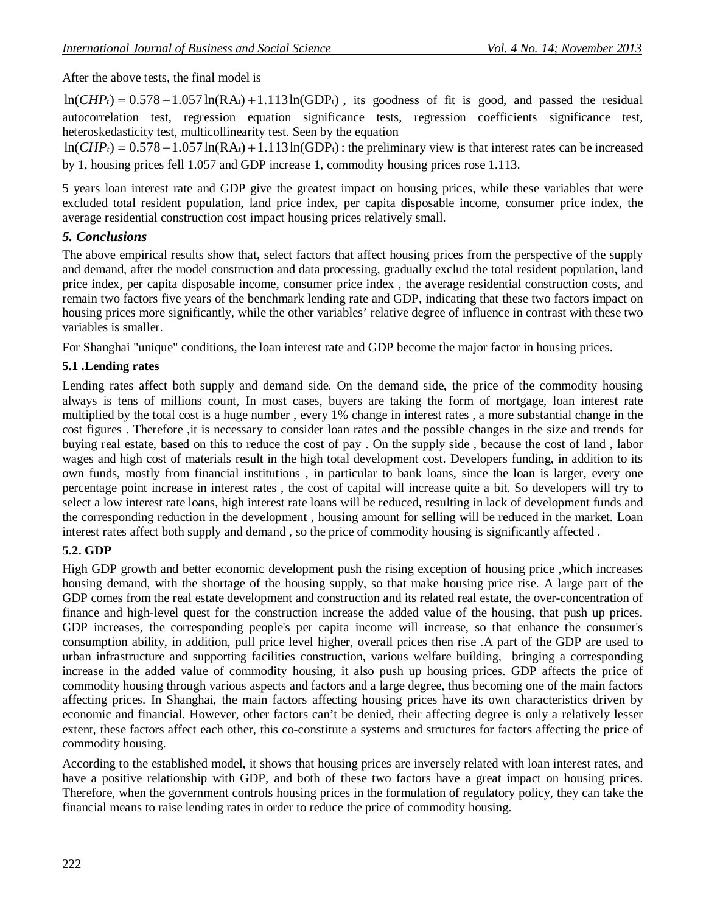After the above tests, the final model is

 $ln(CHP_t) = 0.578 - 1.057 ln(RA_t) + 1.113 ln(GDP_t)$ , its goodness of fit is good, and passed the residual autocorrelation test, regression equation significance tests, regression coefficients significance test, heteroskedasticity test, multicollinearity test. Seen by the equation

 $ln(CHP_t) = 0.578 - 1.057 ln(RA_t) + 1.113 ln(GDP_t)$ ; the preliminary view is that interest rates can be increased by 1, housing prices fell 1.057 and GDP increase 1, commodity housing prices rose 1.113.

5 years loan interest rate and GDP give the greatest impact on housing prices, while these variables that were excluded total resident population, land price index, per capita disposable income, consumer price index, the average residential construction cost impact housing prices relatively small.

## *5. Conclusions*

The above empirical results show that, select factors that affect housing prices from the perspective of the supply and demand, after the model construction and data processing, gradually exclud the total resident population, land price index, per capita disposable income, consumer price index , the average residential construction costs, and remain two factors five years of the benchmark lending rate and GDP, indicating that these two factors impact on housing prices more significantly, while the other variables' relative degree of influence in contrast with these two variables is smaller.

For Shanghai "unique" conditions, the loan interest rate and GDP become the major factor in housing prices.

## **5.1 .Lending rates**

Lending rates affect both supply and demand side. On the demand side, the price of the commodity housing always is tens of millions count, In most cases, buyers are taking the form of mortgage, loan interest rate multiplied by the total cost is a huge number , every 1% change in interest rates , a more substantial change in the cost figures . Therefore ,it is necessary to consider loan rates and the possible changes in the size and trends for buying real estate, based on this to reduce the cost of pay . On the supply side , because the cost of land , labor wages and high cost of materials result in the high total development cost. Developers funding, in addition to its own funds, mostly from financial institutions , in particular to bank loans, since the loan is larger, every one percentage point increase in interest rates , the cost of capital will increase quite a bit. So developers will try to select a low interest rate loans, high interest rate loans will be reduced, resulting in lack of development funds and the corresponding reduction in the development , housing amount for selling will be reduced in the market. Loan interest rates affect both supply and demand , so the price of commodity housing is significantly affected .

## **5.2. GDP**

High GDP growth and better economic development push the rising exception of housing price ,which increases housing demand, with the shortage of the housing supply, so that make housing price rise. A large part of the GDP comes from the real estate development and construction and its related real estate, the over-concentration of finance and high-level quest for the construction increase the added value of the housing, that push up prices. GDP increases, the corresponding people's per capita income will increase, so that enhance the consumer's consumption ability, in addition, pull price level higher, overall prices then rise .A part of the GDP are used to urban infrastructure and supporting facilities construction, various welfare building, bringing a corresponding increase in the added value of commodity housing, it also push up housing prices. GDP affects the price of commodity housing through various aspects and factors and a large degree, thus becoming one of the main factors affecting prices. In Shanghai, the main factors affecting housing prices have its own characteristics driven by economic and financial. However, other factors can't be denied, their affecting degree is only a relatively lesser extent, these factors affect each other, this co-constitute a systems and structures for factors affecting the price of commodity housing.

According to the established model, it shows that housing prices are inversely related with loan interest rates, and have a positive relationship with GDP, and both of these two factors have a great impact on housing prices. Therefore, when the government controls housing prices in the formulation of regulatory policy, they can take the financial means to raise lending rates in order to reduce the price of commodity housing.